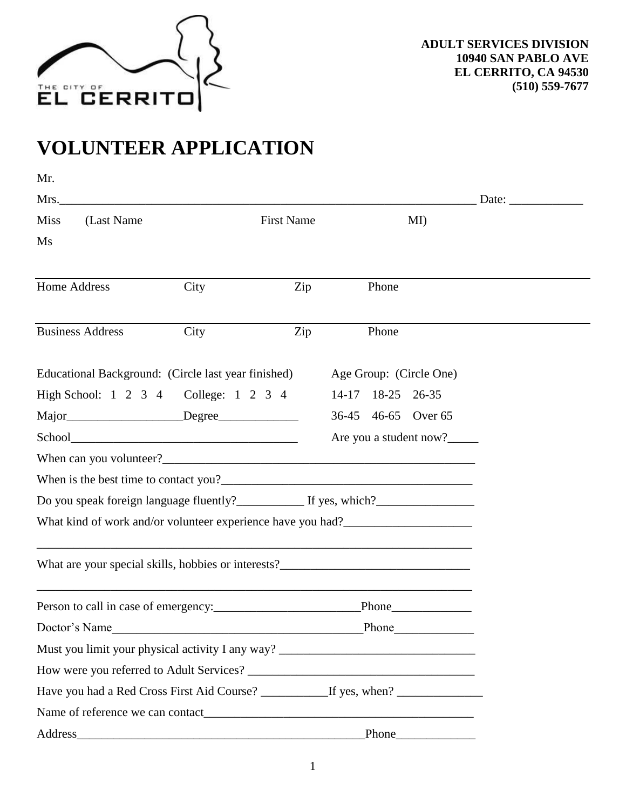

## **VOLUNTEER APPLICATION**

| Mr.                                                                               |                                                                                  |     |                   |                         |                                                        |  |
|-----------------------------------------------------------------------------------|----------------------------------------------------------------------------------|-----|-------------------|-------------------------|--------------------------------------------------------|--|
| Mrs.                                                                              |                                                                                  |     |                   |                         | Date: $\frac{1}{\sqrt{1-\frac{1}{2}}\cdot\frac{1}{2}}$ |  |
| (Last Name<br><b>Miss</b>                                                         | <b>First Name</b>                                                                |     |                   | MI)                     |                                                        |  |
| Ms                                                                                |                                                                                  |     |                   |                         |                                                        |  |
|                                                                                   |                                                                                  |     |                   |                         |                                                        |  |
| Home Address                                                                      | City                                                                             | Zip | Phone             |                         |                                                        |  |
|                                                                                   |                                                                                  |     |                   |                         |                                                        |  |
| <b>Business Address</b>                                                           | City                                                                             | Zip | Phone             |                         |                                                        |  |
| Educational Background: (Circle last year finished)                               |                                                                                  |     |                   | Age Group: (Circle One) |                                                        |  |
| High School: 1 2 3 4 College: 1 2 3 4                                             |                                                                                  |     | 14-17 18-25 26-35 |                         |                                                        |  |
|                                                                                   |                                                                                  |     |                   | 36-45 46-65 Over 65     |                                                        |  |
|                                                                                   |                                                                                  |     |                   | Are you a student now?  |                                                        |  |
|                                                                                   |                                                                                  |     |                   |                         |                                                        |  |
|                                                                                   |                                                                                  |     |                   |                         |                                                        |  |
|                                                                                   |                                                                                  |     |                   |                         |                                                        |  |
| What kind of work and/or volunteer experience have you had?______________________ |                                                                                  |     |                   |                         |                                                        |  |
| What are your special skills, hobbies or interests?______________________________ |                                                                                  |     |                   |                         |                                                        |  |
|                                                                                   | ,我们也不会有什么。""我们的人,我们也不会有什么?""我们的人,我们也不会有什么?""我们的人,我们的人,我们的人,我们的人,我们的人,我们的人,我们的人,我 |     |                   |                         |                                                        |  |
|                                                                                   |                                                                                  |     |                   |                         |                                                        |  |
| Doctor's Name                                                                     |                                                                                  |     |                   |                         |                                                        |  |
| Must you limit your physical activity I any way? _______________________________  |                                                                                  |     |                   |                         |                                                        |  |
|                                                                                   |                                                                                  |     |                   |                         |                                                        |  |
|                                                                                   |                                                                                  |     |                   |                         |                                                        |  |
|                                                                                   |                                                                                  |     |                   |                         |                                                        |  |
| Address Phone Phone Phone                                                         |                                                                                  |     |                   |                         |                                                        |  |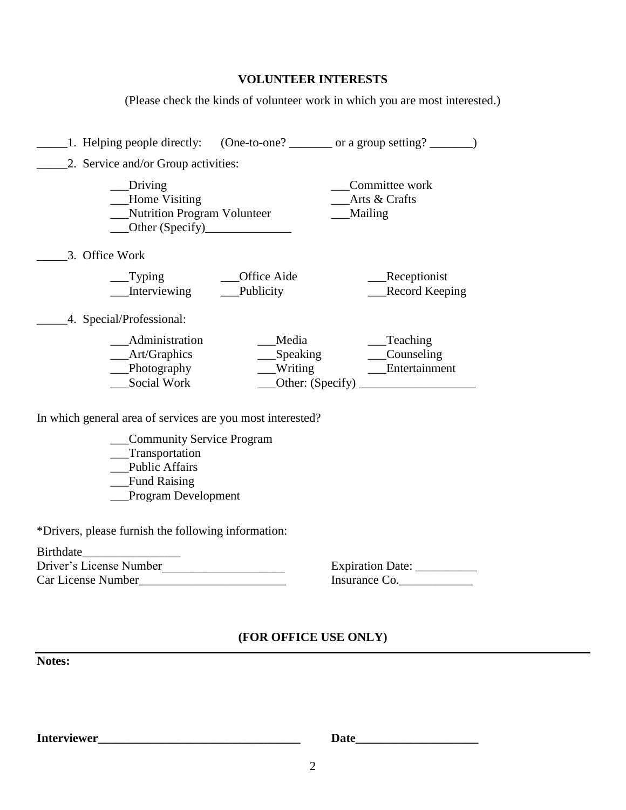| <b>VOLUNTEER INTERESTS</b> |  |
|----------------------------|--|
|----------------------------|--|

(Please check the kinds of volunteer work in which you are most interested.)

|                |                                                                                                               |                                                            | 1. Helping people directly: (One-to-one? ________ or a group setting? ___________ |
|----------------|---------------------------------------------------------------------------------------------------------------|------------------------------------------------------------|-----------------------------------------------------------------------------------|
|                | 2. Service and/or Group activities:                                                                           |                                                            |                                                                                   |
|                | _Driving<br>Home Visiting<br>Nutrition Program Volunteer<br>Other $(Specify)$                                 |                                                            | Committee work<br>Arts & Crafts<br>Mailing                                        |
| 3. Office Work |                                                                                                               |                                                            |                                                                                   |
|                | Typing<br>Interviewing                                                                                        | Office Aide<br>Publicity                                   | _Receptionist<br><b>Record Keeping</b>                                            |
|                | 4. Special/Professional:                                                                                      |                                                            |                                                                                   |
|                | Administration<br>_Art/Graphics<br>$\qquad$ Photography<br>Social Work                                        | Media<br>Speaking<br>Writing                               | $\equiv$ Teaching<br>__Counseling<br>__Entertainment<br>Other: $(Specify)$        |
|                |                                                                                                               | In which general area of services are you most interested? |                                                                                   |
|                | Community Service Program<br>__Transportation<br><b>Public Affairs</b><br>Fund Raising<br>Program Development |                                                            |                                                                                   |
|                | *Drivers, please furnish the following information:                                                           |                                                            |                                                                                   |

| Birthdate               |                         |
|-------------------------|-------------------------|
| Driver's License Number | <b>Expiration Date:</b> |
| Car License Number      | Insurance Co.           |

| <b>Expiration Date:</b> |  |
|-------------------------|--|
| Insurance Co.           |  |

## **(FOR OFFICE USE ONLY)**

**Notes:**

**Interviewer\_\_\_\_\_\_\_\_\_\_\_\_\_\_\_\_\_\_\_\_\_\_\_\_\_\_\_\_\_\_\_\_\_ Date\_\_\_\_\_\_\_\_\_\_\_\_\_\_\_\_\_\_\_\_**